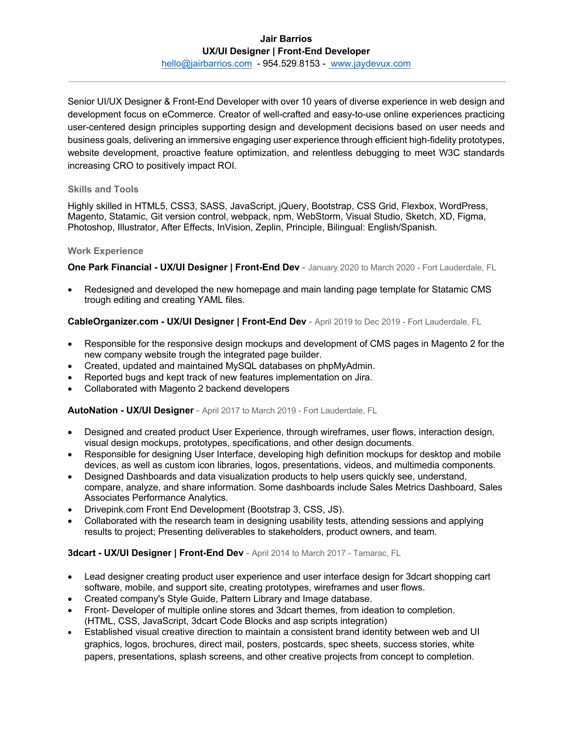## **Jair Barrios UX/UI Designer | Front-End Developer**

hello@jairbarrios.com - 954.529.8153 - www.jaydevux.com

Senior UI/UX Designer & Front-End Developer with over 10 years of diverse experience in web design and development focus on eCommerce. Creator of well-crafted and easy-to-use online experiences practicing user-centered design principles supporting design and development decisions based on user needs and business goals, delivering an immersive engaging user experience through efficient high-fidelity prototypes, website development, proactive feature optimization, and relentless debugging to meet W3C standards increasing CRO to positively impact ROI.

### **Skills and Tools**

Highly skilled in HTML5, CSS3, SASS, JavaScript, jQuery, Bootstrap, CSS Grid, Flexbox, WordPress, Magento, Statamic, Git version control, webpack, npm, WebStorm, Visual Studio, Sketch, XD, Figma, Photoshop, Illustrator, After Effects, InVision, Zeplin, Principle, Bilingual: English/Spanish.

### **Work Experience**

**One Park Financial - UX/UI Designer | Front-End Dev** - January 2020 to March 2020 - Fort Lauderdale, FL

• Redesigned and developed the new homepage and main landing page template for Statamic CMS trough editing and creating YAML files.

### **CableOrganizer.com - UX/UI Designer | Front-End Dev** - April 2019 to Dec 2019 - Fort Lauderdale, FL

- Responsible for the responsive design mockups and development of CMS pages in Magento 2 for the new company website trough the integrated page builder.
- Created, updated and maintained MySQL databases on phpMyAdmin.
- Reported bugs and kept track of new features implementation on Jira.
- Collaborated with Magento 2 backend developers

#### **AutoNation - UX/UI Designer** - April 2017 to March 2019 - Fort Lauderdale, FL

- Designed and created product User Experience, through wireframes, user flows, interaction design, visual design mockups, prototypes, specifications, and other design documents.
- Responsible for designing User Interface, developing high definition mockups for desktop and mobile devices, as well as custom icon libraries, logos, presentations, videos, and multimedia components.
- Designed Dashboards and data visualization products to help users quickly see, understand, compare, analyze, and share information. Some dashboards include Sales Metrics Dashboard, Sales Associates Performance Analytics.
- Drivepink.com Front End Development (Bootstrap 3, CSS, JS).
- Collaborated with the research team in designing usability tests, attending sessions and applying results to project; Presenting deliverables to stakeholders, product owners, and team.

### **3dcart - UX/UI Designer | Front-End Dev** - April 2014 to March 2017 - Tamarac, FL

- Lead designer creating product user experience and user interface design for 3dcart shopping cart software, mobile, and support site, creating prototypes, wireframes and user flows.
- Created company's Style Guide, Pattern Library and Image database.
- Front- Developer of multiple online stores and 3dcart themes, from ideation to completion. (HTML, CSS, JavaScript, 3dcart Code Blocks and asp scripts integration)
- Established visual creative direction to maintain a consistent brand identity between web and UI graphics, logos, brochures, direct mail, posters, postcards, spec sheets, success stories, white papers, presentations, splash screens, and other creative projects from concept to completion.